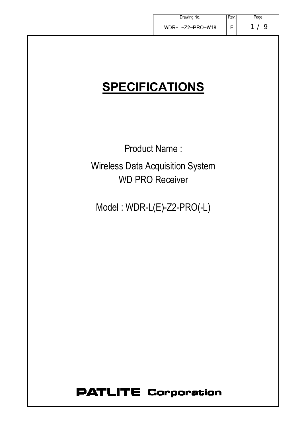| Drawing No.                             | Rev. | Page |
|-----------------------------------------|------|------|
| WDR-L-Z2-PRO-W18                        | E    | 1/9  |
|                                         |      |      |
|                                         |      |      |
|                                         |      |      |
| <b>SPECIFICATIONS</b>                   |      |      |
|                                         |      |      |
|                                         |      |      |
|                                         |      |      |
| <b>Product Name:</b>                    |      |      |
| <b>Wireless Data Acquisition System</b> |      |      |
| <b>WD PRO Receiver</b>                  |      |      |
|                                         |      |      |
| Model: WDR-L(E)-Z2-PRO(-L)              |      |      |
|                                         |      |      |
|                                         |      |      |
|                                         |      |      |
|                                         |      |      |
|                                         |      |      |
|                                         |      |      |
|                                         |      |      |
|                                         |      |      |
|                                         |      |      |
|                                         |      |      |
|                                         |      |      |

# **PATLITE Corporation**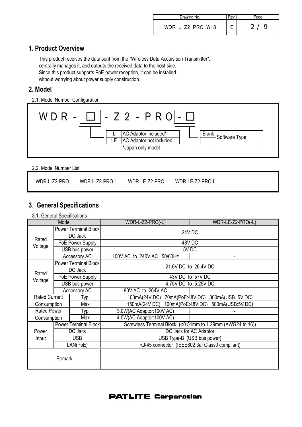| Drawing No.        | Rev. |                    |
|--------------------|------|--------------------|
| $WDR-L-Z2-PRO-W18$ |      | -9<br>$\mathbf{2}$ |

## **1. Product Overview**

This product receives the data sent from the "Wireless Data Acquisition Transmitter", centrally manages it, and outputs the received data to the host side. Since this product supports PoE power reception, it can be installed without worrying about power supply construction.

## **2. Model**

2.1. Model Number Configuration



2.2. Model Number List

# **3**.**General Specifications**

3.1. General Specifications

| Model                        |            |                                        | WDR-L-Z2-PRO(-L)                                                     | WDR-LE-Z2-PRO(-L)    |  |  |
|------------------------------|------------|----------------------------------------|----------------------------------------------------------------------|----------------------|--|--|
| Rated                        |            | <b>Power Terminal Block</b><br>DC Jack | <b>24V DC</b>                                                        |                      |  |  |
| Voltage                      |            | PoE Power Supply                       | 48V DC                                                               |                      |  |  |
|                              |            | USB bus power                          |                                                                      | 5V DC                |  |  |
|                              |            | Accessory AC                           | 100V AC to 240V AC 50/60Hz                                           |                      |  |  |
|                              |            | <b>Power Terminal Block</b><br>DC Jack | 21.6V DC to 26.4V DC                                                 |                      |  |  |
| Rated                        |            | PoE Power Supply                       |                                                                      | 43V DC to 57V DC     |  |  |
| Voltage                      |            | USB bus power                          |                                                                      | 4.75V DC to 5.25V DC |  |  |
|                              |            | Accessory AC                           | 90V AC to 264V AC                                                    |                      |  |  |
| <b>Rated Current</b><br>Typ. |            |                                        | 300mA(USB: 5V DC)<br>100mA(24V DC) 70mA(PoE:48V DC)                  |                      |  |  |
| Max<br>Consumption           |            |                                        | 150mA(24V DC) 100mA(PoE:48V DC)<br>500mA(USB:5V DC)                  |                      |  |  |
| <b>Rated Power</b>           |            | Typ.                                   | 3.0W(AC Adaptor:100V AC)                                             |                      |  |  |
| Consumption                  |            | Max                                    | 4.5W(AC Adaptor:100V AC)                                             |                      |  |  |
|                              |            | Power Terminal Block                   | Screwless Terminal Block ( $\varphi$ 0.51mm to 1.29mm (AWG24 to 16)) |                      |  |  |
| Power                        | DC Jack    |                                        | DC Jack for AC Adaptor                                               |                      |  |  |
| Input                        | <b>USB</b> |                                        | USB Type-B (USB bus power)                                           |                      |  |  |
| LAN(PoE)                     |            |                                        | RJ-45 connector (IEEE802.3af Class0 compliant)                       |                      |  |  |
| Remark                       |            |                                        |                                                                      |                      |  |  |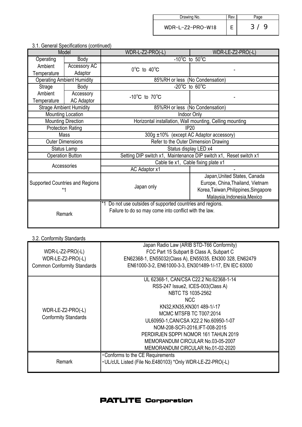| Drawing No.        | Kev. |     |
|--------------------|------|-----|
| $WDR-L-Z2-PRO-W18$ |      | 3/9 |

|                         | J.T. Ochcial Opedindations (continued) |                                                                   |                                       |  |
|-------------------------|----------------------------------------|-------------------------------------------------------------------|---------------------------------------|--|
| Model                   |                                        | WDR-L-Z2-PRO(-L)                                                  | WDR-LE-Z2-PRO(-L)                     |  |
| Operating               | Body                                   | $-10^{\circ}$ C to $50^{\circ}$ C                                 |                                       |  |
| Ambient                 | Accessory AC                           | $0^{\circ}$ C to $40^{\circ}$ C                                   |                                       |  |
| Temperature             | Adaptor                                |                                                                   |                                       |  |
|                         | <b>Operating Ambient Humidity</b>      | 85%RH or less (No Condensation)                                   |                                       |  |
| Strage                  | Body                                   | $-20^{\circ}$ C to 60 $^{\circ}$ C                                |                                       |  |
| Ambient                 | Accessory                              | -10 $^{\circ}$ C to 70 $^{\circ}$ C                               |                                       |  |
| Temperature             | <b>AC Adaptor</b>                      |                                                                   |                                       |  |
|                         | <b>Strage Ambient Humidity</b>         | 85%RH or less (No Condensation)                                   |                                       |  |
|                         | Mounting Location                      |                                                                   | Indoor Only                           |  |
|                         | <b>Mounting Direction</b>              | Horizontal installation, Wall mounting, Celling mounting          |                                       |  |
|                         | <b>Protection Rating</b>               | <b>IP20</b>                                                       |                                       |  |
| Mass                    |                                        | 300g ±10% (except AC Adaptor accessory)                           |                                       |  |
| <b>Outer Dimensions</b> |                                        | Refer to the Outer Dimension Drawing                              |                                       |  |
|                         | Status display LED x4<br>Status Lamp   |                                                                   |                                       |  |
|                         | <b>Operation Button</b>                | Setting DIP switch x1, Maintenance DIP switch x1, Reset switch x1 |                                       |  |
|                         | Accessories                            | Cable tie x1, Cable fixing plate x1                               |                                       |  |
|                         |                                        | AC Adaptor x1                                                     |                                       |  |
|                         |                                        |                                                                   | Japan, United States, Canada          |  |
|                         | Supported Countries and Regions        |                                                                   | Europe, China, Thailand, Vietnam      |  |
| $*1$                    |                                        | Japan only                                                        | Korea, Taiwan, Philippines, Singapore |  |
|                         |                                        |                                                                   | Malaysia, Indonesia, Mexico           |  |
|                         |                                        | Do not use outsides of supported countries and regions.           |                                       |  |
|                         |                                        | Failure to do so may come into conflict with the law.             |                                       |  |
|                         | Remark                                 |                                                                   |                                       |  |
|                         |                                        |                                                                   |                                       |  |

### 3.1. General Specifications (continued)

### 3.2. Conformity Standards

| WDR-L-Z2-PRO(-L)<br>WDR-LE-Z2-PRO(-L)            | Japan Radio Law (ARIB STD-T66 Conformity)<br>FCC Part 15 Subpart B Class A, Subpart C<br>EN62368-1, EN55032(Class A), EN55035, EN300 328, EN62479                                                                                                                                                                           |
|--------------------------------------------------|-----------------------------------------------------------------------------------------------------------------------------------------------------------------------------------------------------------------------------------------------------------------------------------------------------------------------------|
| <b>Common Conformity Standards</b>               | EN61000-3-2, EN61000-3-3, EN301489-1/-17, EN IEC 63000                                                                                                                                                                                                                                                                      |
| WDR-LE-Z2-PRO(-L)<br><b>Conformity Standards</b> | UL 62368-1, CAN/CSA C22.2 No.62368-1-14<br>RSS-247 Issue2, ICES-003(Class A)<br>NBTC TS 1035-2562<br>NCC.<br>KN32,KN35,KN301 489-1/-17<br>MCMC MTSFB TC T007:2014<br>UL60950-1, CAN/CSA X22.2 No.60950-1-07<br>NOM-208-SCFI-2016, IFT-008-2015<br>PERDIRJEN SDPPI NOMOR 161 TAHUN 2019<br>MEMORANDUM CIRCULAR No.03-05-2007 |
| Remark                                           | MEMORANDUM CIRCULAR No.01-02-2020<br>•Conforms to the CE Requirements<br>- UL/cUL Listed (File No.E480103) *Only WDR-LE-Z2-PRO(-L)                                                                                                                                                                                          |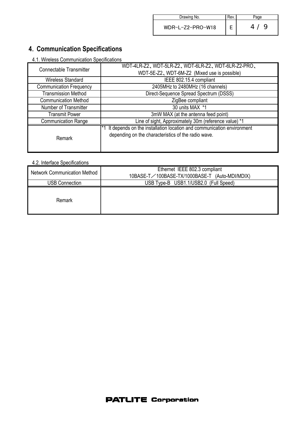| Drawing No.      | Rev. | aqe                  |
|------------------|------|----------------------|
| WDR-L-Z2-PRO-W18 |      | 4 <sub>1</sub><br>-9 |

# **4**.**Communication Specifications**

4.1. Wireless Communication Specifications

| Connectable Transmitter        | WDT-4LR-Z2, WDT-5LR-Z2, WDT-6LR-Z2, WDT-6LR-Z2-PRO,                   |  |  |  |
|--------------------------------|-----------------------------------------------------------------------|--|--|--|
|                                | WDT-5E-Z2, WDT-6M-Z2 (Mixed use is possible)                          |  |  |  |
| <b>Wireless Standard</b>       | IEEE 802.15.4 compliant                                               |  |  |  |
| <b>Communication Frequency</b> | 2405MHz to 2480MHz (16 channels)                                      |  |  |  |
| <b>Transmission Method</b>     | Direct-Sequence Spread Spectrum (DSSS)                                |  |  |  |
| <b>Communication Method</b>    | ZigBee compliant                                                      |  |  |  |
| Number of Transmitter          | 30 units MAX *1                                                       |  |  |  |
| <b>Transmit Power</b>          | 3mW MAX (at the antenna feed point)                                   |  |  |  |
| <b>Communication Range</b>     | Line of sight, Approximately 30m (reference value) *1                 |  |  |  |
|                                | It depends on the installation location and communication environment |  |  |  |
| Remark                         | depending on the characteristics of the radio wave.                   |  |  |  |
|                                |                                                                       |  |  |  |
|                                |                                                                       |  |  |  |

#### 4.2. Interface Specifications

| <b>Network Communication Method</b> | Ethernet IEEE 802.3 compliant                  |
|-------------------------------------|------------------------------------------------|
|                                     | 10BASE-T/100BASE-TX/1000BASE-T (Auto-MDI/MDIX) |
| <b>USB Connection</b>               | USB Type-B USB1.1/USB2.0 (Full Speed)          |
| Remark                              |                                                |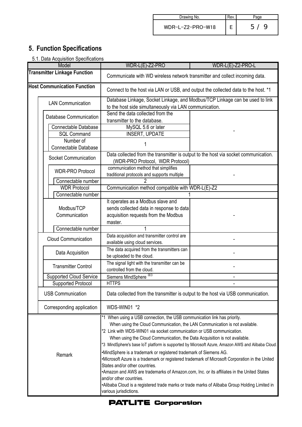| Drawing No.      | Kev. |                     |
|------------------|------|---------------------|
| WDR-L-Z2-PRO-W18 |      | 9<br>5 <sub>1</sub> |

# **5**.**Function Specifications**

|  |  |  | 5.1. Data Acquisition Specifications |
|--|--|--|--------------------------------------|
|  |  |  |                                      |

|                                    | <b>Transmitter Linkage Function</b> | WDR-L(E)-Z2-PRO<br>Communicate with WD wireless network transmitter and collect incoming data.                                                                                                                                                                                                                                                                                                                                                                                                                                                                                                                                                                                                                                                                                                                                                                                 | WDR-L(E)-Z2-PRO-L |  |
|------------------------------------|-------------------------------------|--------------------------------------------------------------------------------------------------------------------------------------------------------------------------------------------------------------------------------------------------------------------------------------------------------------------------------------------------------------------------------------------------------------------------------------------------------------------------------------------------------------------------------------------------------------------------------------------------------------------------------------------------------------------------------------------------------------------------------------------------------------------------------------------------------------------------------------------------------------------------------|-------------------|--|
|                                    |                                     |                                                                                                                                                                                                                                                                                                                                                                                                                                                                                                                                                                                                                                                                                                                                                                                                                                                                                |                   |  |
|                                    |                                     |                                                                                                                                                                                                                                                                                                                                                                                                                                                                                                                                                                                                                                                                                                                                                                                                                                                                                |                   |  |
| <b>Host Communication Function</b> |                                     | Connect to the host via LAN or USB, and output the collected data to the host. *1                                                                                                                                                                                                                                                                                                                                                                                                                                                                                                                                                                                                                                                                                                                                                                                              |                   |  |
|                                    | <b>LAN Communication</b>            | Database Linkage, Socket Linkage, and Modbus/TCP Linkage can be used to link                                                                                                                                                                                                                                                                                                                                                                                                                                                                                                                                                                                                                                                                                                                                                                                                   |                   |  |
|                                    |                                     | to the host side simultaneously via LAN communication.                                                                                                                                                                                                                                                                                                                                                                                                                                                                                                                                                                                                                                                                                                                                                                                                                         |                   |  |
|                                    | Database Communication              | Send the data collected from the                                                                                                                                                                                                                                                                                                                                                                                                                                                                                                                                                                                                                                                                                                                                                                                                                                               |                   |  |
|                                    |                                     | transmitter to the database.                                                                                                                                                                                                                                                                                                                                                                                                                                                                                                                                                                                                                                                                                                                                                                                                                                                   |                   |  |
|                                    | Connectable Database                | MySQL 5.6 or later                                                                                                                                                                                                                                                                                                                                                                                                                                                                                                                                                                                                                                                                                                                                                                                                                                                             |                   |  |
|                                    | <b>SQL Command</b>                  | <b>INSERT, UPDATE</b>                                                                                                                                                                                                                                                                                                                                                                                                                                                                                                                                                                                                                                                                                                                                                                                                                                                          |                   |  |
|                                    | Number of                           |                                                                                                                                                                                                                                                                                                                                                                                                                                                                                                                                                                                                                                                                                                                                                                                                                                                                                |                   |  |
|                                    | <b>Connectable Database</b>         |                                                                                                                                                                                                                                                                                                                                                                                                                                                                                                                                                                                                                                                                                                                                                                                                                                                                                |                   |  |
|                                    | Socket Communication                | Data collected from the transmitter is output to the host via socket communication.<br>(WDR-PRO Protocol, WDR Protocol)                                                                                                                                                                                                                                                                                                                                                                                                                                                                                                                                                                                                                                                                                                                                                        |                   |  |
|                                    | <b>WDR-PRO Protocol</b>             | communication method that simplifies<br>traditional protocols and supports multiple                                                                                                                                                                                                                                                                                                                                                                                                                                                                                                                                                                                                                                                                                                                                                                                            |                   |  |
|                                    | Connectable number                  |                                                                                                                                                                                                                                                                                                                                                                                                                                                                                                                                                                                                                                                                                                                                                                                                                                                                                |                   |  |
|                                    | <b>WDR Protocol</b>                 | Communication method compatible with WDR-L(E)-Z2                                                                                                                                                                                                                                                                                                                                                                                                                                                                                                                                                                                                                                                                                                                                                                                                                               |                   |  |
|                                    | Connectable number                  |                                                                                                                                                                                                                                                                                                                                                                                                                                                                                                                                                                                                                                                                                                                                                                                                                                                                                |                   |  |
|                                    |                                     | It operates as a Modbus slave and                                                                                                                                                                                                                                                                                                                                                                                                                                                                                                                                                                                                                                                                                                                                                                                                                                              |                   |  |
|                                    | Modbus/TCP                          | sends collected data in response to data                                                                                                                                                                                                                                                                                                                                                                                                                                                                                                                                                                                                                                                                                                                                                                                                                                       |                   |  |
|                                    | Communication                       | acquisition requests from the Modbus                                                                                                                                                                                                                                                                                                                                                                                                                                                                                                                                                                                                                                                                                                                                                                                                                                           |                   |  |
|                                    |                                     | master.                                                                                                                                                                                                                                                                                                                                                                                                                                                                                                                                                                                                                                                                                                                                                                                                                                                                        |                   |  |
|                                    | Connectable number                  |                                                                                                                                                                                                                                                                                                                                                                                                                                                                                                                                                                                                                                                                                                                                                                                                                                                                                |                   |  |
|                                    | <b>Cloud Communication</b>          | Data acquisition and transmitter control are<br>available using cloud services.                                                                                                                                                                                                                                                                                                                                                                                                                                                                                                                                                                                                                                                                                                                                                                                                |                   |  |
|                                    | Data Acquisition                    | The data acquired from the transmitters can<br>be uploaded to the cloud.                                                                                                                                                                                                                                                                                                                                                                                                                                                                                                                                                                                                                                                                                                                                                                                                       |                   |  |
|                                    | <b>Transmitter Control</b>          | The signal light with the transmitter can be<br>controlled from the cloud.                                                                                                                                                                                                                                                                                                                                                                                                                                                                                                                                                                                                                                                                                                                                                                                                     |                   |  |
|                                    | <b>Supported Cloud Service</b>      | Siemens MindSphere <sup>383</sup>                                                                                                                                                                                                                                                                                                                                                                                                                                                                                                                                                                                                                                                                                                                                                                                                                                              |                   |  |
|                                    | <b>Supported Protocol</b>           | <b>HTTPS</b>                                                                                                                                                                                                                                                                                                                                                                                                                                                                                                                                                                                                                                                                                                                                                                                                                                                                   |                   |  |
|                                    | <b>USB Communication</b>            | Data collected from the transmitter is output to the host via USB communication.                                                                                                                                                                                                                                                                                                                                                                                                                                                                                                                                                                                                                                                                                                                                                                                               |                   |  |
| Corresponding application          |                                     | WDS-WIN01 *2                                                                                                                                                                                                                                                                                                                                                                                                                                                                                                                                                                                                                                                                                                                                                                                                                                                                   |                   |  |
| Remark                             |                                     | *1 When using a USB connection, the USB communication link has priority.<br>When using the Cloud Communication, the LAN Communication is not available.<br>*2 Link with WDS-WIN01 via socket communication or USB communication.<br>When using the Cloud Communication, the Data Acquisition is not available.<br>*3 MindSphere's base IoT platform is supported by Microsoft Azure, Amazon AWS and Alibaba Cloud.<br>•MindSphere is a trademark or registered trademark of Siemens AG.<br>•Microsoft Azure is a trademark or registered trademark of Microsoft Corporation in the United<br>States and/or other countries.<br>*Amazon and AWS are trademarks of Amazon.com, Inc. or its affiliates in the United States<br>and/or other countries.<br>•Alibaba Cloud is a registered trade marks or trade marks of Alibaba Group Holding Limited in<br>various jurisdictions. |                   |  |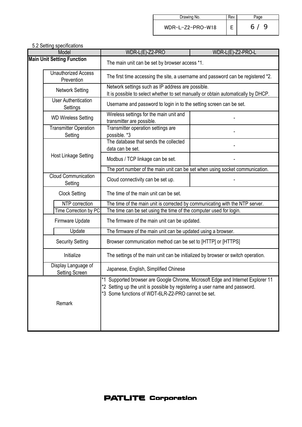| Drawing No.      | Rev. | age |
|------------------|------|-----|
| WDR-L-Z2-PRO-W18 |      | 6/9 |

| 5.2 Setting specifications<br>Model          |  | WDR-L(E)-Z2-PRO                                                                                                                                                                                                      | WDR-L(E)-Z2-PRO-L |  |
|----------------------------------------------|--|----------------------------------------------------------------------------------------------------------------------------------------------------------------------------------------------------------------------|-------------------|--|
| <b>Main Unit Setting Function</b>            |  | The main unit can be set by browser access *1.                                                                                                                                                                       |                   |  |
| <b>Unauthorized Access</b><br>Prevention     |  | The first time accessing the site, a username and password can be registered *2.                                                                                                                                     |                   |  |
| <b>Network Setting</b>                       |  | Network settings such as IP address are possible.<br>It is possible to select whether to set manually or obtain automatically by DHCP.                                                                               |                   |  |
| <b>User Authentication</b><br>Settings       |  | Username and password to login in to the setting screen can be set.                                                                                                                                                  |                   |  |
| <b>WD Wireless Setting</b>                   |  | Wireless settings for the main unit and<br>transmitter are possible.                                                                                                                                                 |                   |  |
| <b>Transmitter Operation</b><br>Setting      |  | Transmitter operation settings are<br>possible. *3                                                                                                                                                                   |                   |  |
|                                              |  | The database that sends the collected<br>data can be set.                                                                                                                                                            |                   |  |
| Host Linkage Setting                         |  | Modbus / TCP linkage can be set.                                                                                                                                                                                     |                   |  |
|                                              |  | The port number of the main unit can be set when using socket communication.                                                                                                                                         |                   |  |
| <b>Cloud Communication</b><br>Setting        |  | Cloud connectivity can be set up.                                                                                                                                                                                    |                   |  |
| <b>Clock Setting</b>                         |  | The time of the main unit can be set.                                                                                                                                                                                |                   |  |
| NTP correction                               |  | The time of the main unit is corrected by communicating with the NTP server.                                                                                                                                         |                   |  |
| Time Correction by PC                        |  | The time can be set using the time of the computer used for login.                                                                                                                                                   |                   |  |
| Firmware Update                              |  | The firmware of the main unit can be updated.                                                                                                                                                                        |                   |  |
| Update                                       |  | The firmware of the main unit can be updated using a browser.                                                                                                                                                        |                   |  |
| <b>Security Setting</b>                      |  | Browser communication method can be set to [HTTP] or [HTTPS]                                                                                                                                                         |                   |  |
| Initialize                                   |  | The settings of the main unit can be initialized by browser or switch operation.                                                                                                                                     |                   |  |
| Display Language of<br><b>Setting Screen</b> |  | Japanese, English, Simplified Chinese                                                                                                                                                                                |                   |  |
| Remark                                       |  | *1 Supported browser are Google Chrome, Microsoft Edge and Internet Explorer 11<br>*2 Setting up the unit is possible by registering a user name and password.<br>*3 Some functions of WDT-6LR-Z2-PRO cannot be set. |                   |  |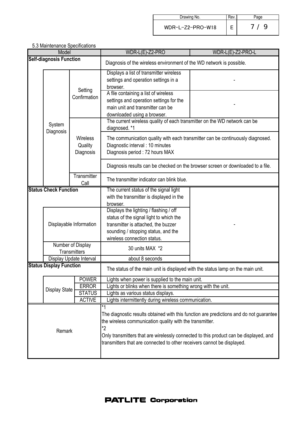| Drawing No.      | Rev | 'age     |
|------------------|-----|----------|
| WDR-L-Z2-PRO-W18 |     | $\alpha$ |

| o.o maintenance opeemeations<br>Model |                                         | WDR-L(E)-Z2-PRO                                                                                                                                                                                                                                                                                                               | WDR-L(E)-Z2-PRO-L                                                                                                                                                                                                                                                          |
|---------------------------------------|-----------------------------------------|-------------------------------------------------------------------------------------------------------------------------------------------------------------------------------------------------------------------------------------------------------------------------------------------------------------------------------|----------------------------------------------------------------------------------------------------------------------------------------------------------------------------------------------------------------------------------------------------------------------------|
|                                       |                                         | Diagnosis of the wireless environment of the WD network is possible.                                                                                                                                                                                                                                                          |                                                                                                                                                                                                                                                                            |
| System<br>Diagnosis                   | Setting<br>Confirmation                 | Displays a list of transmitter wireless<br>settings and operation settings in a<br>browser.                                                                                                                                                                                                                                   |                                                                                                                                                                                                                                                                            |
|                                       |                                         | settings and operation settings for the<br>main unit and transmitter can be<br>downloaded using a browser.                                                                                                                                                                                                                    |                                                                                                                                                                                                                                                                            |
|                                       | <b>Wireless</b><br>Quality<br>Diagnosis | diagnosed. *1                                                                                                                                                                                                                                                                                                                 |                                                                                                                                                                                                                                                                            |
|                                       |                                         | The communication quality with each transmitter can be continuously diagnosed.<br>Diagnostic interval : 10 minutes<br>Diagnosis period: 72 hours MAX                                                                                                                                                                          |                                                                                                                                                                                                                                                                            |
|                                       |                                         | Diagnosis results can be checked on the browser screen or downloaded to a file.                                                                                                                                                                                                                                               |                                                                                                                                                                                                                                                                            |
|                                       | Call                                    | The transmitter indicator can blink blue.                                                                                                                                                                                                                                                                                     |                                                                                                                                                                                                                                                                            |
| <b>Status Check Function</b>          |                                         | with the transmitter is displayed in the<br>browser.                                                                                                                                                                                                                                                                          |                                                                                                                                                                                                                                                                            |
|                                       |                                         | status of the signal light to which the<br>transmitter is attached, the buzzer<br>sounding / stopping status, and the                                                                                                                                                                                                         |                                                                                                                                                                                                                                                                            |
|                                       |                                         | 30 units MAX *2                                                                                                                                                                                                                                                                                                               |                                                                                                                                                                                                                                                                            |
|                                       |                                         | about 8 seconds                                                                                                                                                                                                                                                                                                               |                                                                                                                                                                                                                                                                            |
| <b>Status Display Function</b>        |                                         | The status of the main unit is displayed with the status lamp on the main unit.                                                                                                                                                                                                                                               |                                                                                                                                                                                                                                                                            |
|                                       | <b>POWER</b>                            | Lights when power is supplied to the main unit.                                                                                                                                                                                                                                                                               |                                                                                                                                                                                                                                                                            |
|                                       | <b>ERROR</b>                            | Lights or blinks when there is something wrong with the unit.                                                                                                                                                                                                                                                                 |                                                                                                                                                                                                                                                                            |
|                                       |                                         |                                                                                                                                                                                                                                                                                                                               |                                                                                                                                                                                                                                                                            |
|                                       |                                         | Lights intermittently during wireless communication.                                                                                                                                                                                                                                                                          |                                                                                                                                                                                                                                                                            |
| Remark                                |                                         | The diagnostic results obtained with this function are predictions and do not guarantee<br>the wireless communication quality with the transmitter.<br>*2<br>Only transmitters that are wirelessly connected to this product can be displayed, and<br>transmitters that are connected to other receivers cannot be displayed. |                                                                                                                                                                                                                                                                            |
|                                       |                                         | <b>Self-diagnosis Function</b><br>Transmitter<br>Displayable Information<br>Number of Display<br><b>Transmitters</b><br>Display Update Interval<br><b>Display State</b><br><b>STATUS</b><br><b>ACTIVE</b>                                                                                                                     | A file containing a list of wireless<br>The current wireless quality of each transmitter on the WD network can be<br>The current status of the signal light<br>Displays the lighting / flashing / off<br>wireless connection status.<br>Lights as various status displays. |

5.3 Maintenance Specifications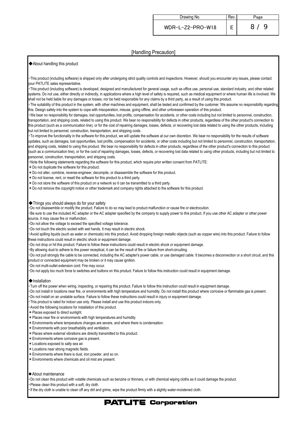#### [Handling Precaution]

#### ◆About handling this product

・This product (including software) is shipped only after undergoing strict quality controls and inspections. However, should you encounter any issues, please contact your PATLITE sales representative.

・This product (including software) is developed, designed and manufactured for general usage, such as office use, personal use, standard industry, and other related systems. Do not use, either directly or indirectly, in applications where a high level of safety is required, such as medical equipment or where human life is involved. We shall not be held liable for any damages or losses, nor be held responsible for any claims by a third party, as a result of using this product.

・The suitability of this product in the system, with other machines and equipment, shall be tested and confirmed by the customer. We assume no responsibility regarding this. Design safety into the system to cope with misoperation, misuse, going offline, and other unforeseen operation of this product.

・We bear no responsibility for damages, lost opportunities, lost profits, compensation for accidents, or other costs including but not limited to personnel, construction, transportation, and shipping costs, related to using this product. We bear no responsibility for defects in other products, regardless of the other product's connection to this product (such as a communication line), or for the cost of repairing damages, losses, defects, or recovering lost data related to using the other products, including but not limited to personnel, construction, transportation, and shipping costs.

・To improve the functionality in the software for this product, we will update the software at our own discretion. We bear no responsibility for the results of software updates, such as damages, lost opportunities, lost profits, compensation for accidents, or other costs including but not limited to personnel, construction, transportation, and shipping costs, related to using this product. We bear no responsibility for defects in other products, regardless of the other product's connection to this product (such as a communication line), or for the cost of repairing damages, losses, defects, or recovering lost data related to using other products, including but not limited to personnel, construction, transportation, and shipping costs.

・Note the following statements regarding the software for this product, which require prior written consent from PATLITE:

\*Do not duplicate the software for this product.

- \*Do not alter, combine, reverse-engineer, decompile, or disassemble the software for this product.
- \*Do not license, rent, or resell the software for this product to a third party.
- \*Do not store the software of this product on a network so it can be transmitted to a third party.
- \*Do not remove the copyright notice or other trademark and company rights attached to the software for this product.

#### ◆Things you should always do for your safety

・Do not disassemble or modify the product. Failure to do so may lead to product malfunction or cause fire or electrocution.

・Be sure to use the included AC adapter or the AC adapter specified by the company to supply power to this product. If you use other AC adapter or other power source, it may cause fire or malfunction.

・Do not allow the voltage to exceed the specified voltage tolerance.

・Do not touch the electric socket with wet hands. It may result in electric shock.

・Avoid spilling liquids (such as water or chemicals) into this product. Avoid dropping foreign metallic objects (such as copper wire) into this product. Failure to follow these instructions could result in electric shock or equipment damage.

- ・Do not drop or hit this product. Failure to follow these instructions could result in electric shock or equipment damage.
- ・By allowing dust to adhere to the power receptical, it can be the result of fire or failure from short-circuiting.

・Do not pull strongly the cable to be connected, including the AC adapter's power cable, or use damaged cable. It becomes a disconnection or a short circuit, and this product or connected equipment may be broken or it may cause ignition.

・Do not multi-outlet extension cord. Fire may occur.

・Do not apply too much force to switches and buttons on this product. Failure to follow this instruction could result in equipment damage.

#### ◆Installation

・Turn off the power when wiring, inspecting, or repairing this product. Failure to follow this instruction could result in equipment damage.

・Do not install in locations near fire, or environments with high temperature and humidity. Do not install this product where corrosive or flammable gas is present.

- ・Do not install on an unstable surface. Failure to follow these instructions could result in injury or equipment damage.
- This product is rated for indoor use only. Please install and use this product indoors only.
- ・Avoid the following locations for installation of this product.
- \*Places exposed to direct sunlight.
- \*Places near fire or environments with high temperatures and humidity.
- \*Environments where temperature changes are severe, and where there is condensation.
- \*Environments with poor breathability and ventilation.
- \*Places where external vibrations are directly transmitted to this product.
- \*Environments where corrosive gas is present.
- \*Locations exposed to salty sea air.
- \*Locations near strong magnetic fields.
- \*Environments where there is dust, iron powder, and so on.
- \*Environments where chemicals and oil mist are present.

#### ◆About maintenance

・Do not clean this product with volatile chemicals such as benzine or thinners, or with chemical wiping cloths as it could damage the product.

・Please clean this product with a soft, dry cloth.

If the dry cloth is unable to clean off any dirt and grime, wipe the product firmly with a slightly water-moistened cloth.